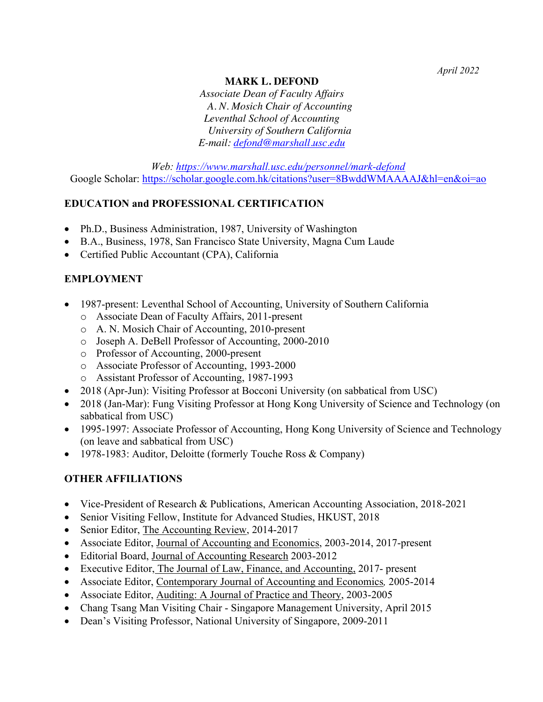### **MARK L. DEFOND**

*Associate Dean of Faculty Affairs A. N. Mosich Chair of Accounting Leventhal School of Accounting University of Southern California E-mail: defond@marshall.usc.edu*

*Web: https://www.marshall.usc.edu/personnel/mark-defond* Google Scholar: https://scholar.google.com.hk/citations?user=8BwddWMAAAAJ&hl=en&oi=ao

### **EDUCATION and PROFESSIONAL CERTIFICATION**

- Ph.D., Business Administration, 1987, University of Washington
- B.A., Business, 1978, San Francisco State University, Magna Cum Laude
- Certified Public Accountant (CPA), California

### **EMPLOYMENT**

- 1987-present: Leventhal School of Accounting, University of Southern California
	- o Associate Dean of Faculty Affairs, 2011-present
	- o A. N. Mosich Chair of Accounting, 2010-present
	- o Joseph A. DeBell Professor of Accounting, 2000-2010
	- o Professor of Accounting, 2000-present
	- o Associate Professor of Accounting, 1993-2000
	- o Assistant Professor of Accounting, 1987-1993
- 2018 (Apr-Jun): Visiting Professor at Bocconi University (on sabbatical from USC)
- 2018 (Jan-Mar): Fung Visiting Professor at Hong Kong University of Science and Technology (on sabbatical from USC)
- 1995-1997: Associate Professor of Accounting, Hong Kong University of Science and Technology (on leave and sabbatical from USC)
- 1978-1983: Auditor, Deloitte (formerly Touche Ross & Company)

### **OTHER AFFILIATIONS**

- Vice-President of Research & Publications, American Accounting Association, 2018-2021
- Senior Visiting Fellow, Institute for Advanced Studies, HKUST, 2018
- Senior Editor, The Accounting Review, 2014-2017
- Associate Editor, Journal of Accounting and Economics, 2003-2014, 2017-present
- Editorial Board, Journal of Accounting Research 2003-2012
- Executive Editor, The Journal of Law, Finance, and Accounting, 2017- present
- Associate Editor, Contemporary Journal of Accounting and Economics*,* 2005-2014
- Associate Editor, Auditing: A Journal of Practice and Theory, 2003-2005
- Chang Tsang Man Visiting Chair Singapore Management University, April 2015
- Dean's Visiting Professor, National University of Singapore, 2009-2011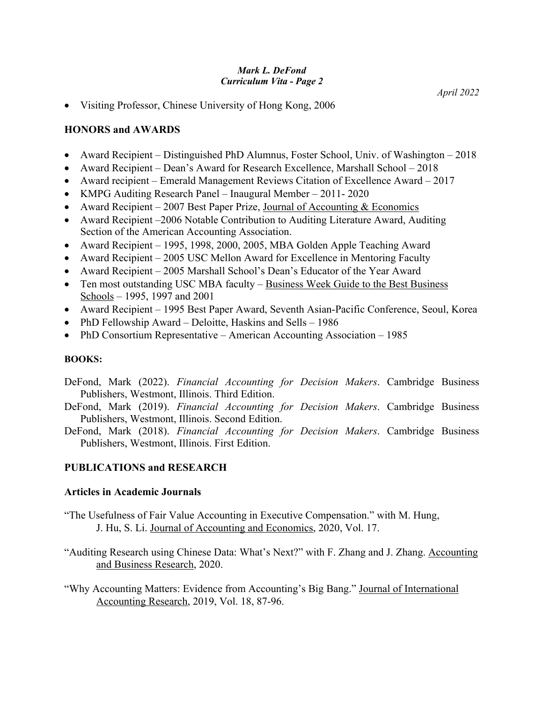• Visiting Professor, Chinese University of Hong Kong, 2006

### **HONORS and AWARDS**

- Award Recipient Distinguished PhD Alumnus, Foster School, Univ. of Washington 2018
- Award Recipient Dean's Award for Research Excellence, Marshall School 2018
- Award recipient Emerald Management Reviews Citation of Excellence Award 2017
- KMPG Auditing Research Panel Inaugural Member 2011- 2020
- Award Recipient 2007 Best Paper Prize, Journal of Accounting  $&$  Economics
- Award Recipient –2006 Notable Contribution to Auditing Literature Award, Auditing Section of the American Accounting Association.
- Award Recipient 1995, 1998, 2000, 2005, MBA Golden Apple Teaching Award
- Award Recipient 2005 USC Mellon Award for Excellence in Mentoring Faculty
- Award Recipient 2005 Marshall School's Dean's Educator of the Year Award
- Ten most outstanding USC MBA faculty Business Week Guide to the Best Business Schools – 1995, 1997 and 2001
- Award Recipient 1995 Best Paper Award, Seventh Asian-Pacific Conference, Seoul, Korea
- PhD Fellowship Award Deloitte, Haskins and Sells 1986
- PhD Consortium Representative American Accounting Association 1985

### **BOOKS:**

- DeFond, Mark (2022). *Financial Accounting for Decision Makers*. Cambridge Business Publishers, Westmont, Illinois. Third Edition.
- DeFond, Mark (2019). *Financial Accounting for Decision Makers*. Cambridge Business Publishers, Westmont, Illinois. Second Edition.
- DeFond, Mark (2018). *Financial Accounting for Decision Makers*. Cambridge Business Publishers, Westmont, Illinois. First Edition.

# **PUBLICATIONS and RESEARCH**

### **Articles in Academic Journals**

- "The Usefulness of Fair Value Accounting in Executive Compensation." with M. Hung, J. Hu, S. Li. Journal of Accounting and Economics, 2020, Vol. 17.
- "Auditing Research using Chinese Data: What's Next?" with F. Zhang and J. Zhang. Accounting and Business Research, 2020.
- "Why Accounting Matters: Evidence from Accounting's Big Bang." Journal of International Accounting Research, 2019, Vol. 18, 87-96.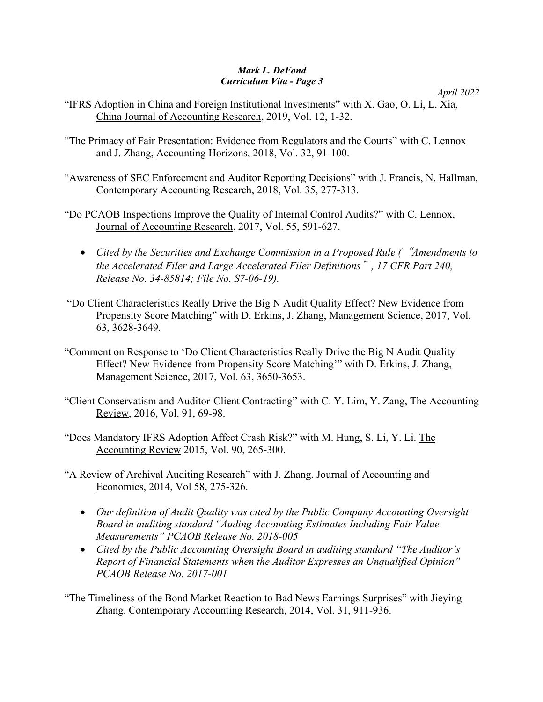*April 2022*

"IFRS Adoption in China and Foreign Institutional Investments" with X. Gao, O. Li, L. Xia, China Journal of Accounting Research, 2019, Vol. 12, 1-32.

- "The Primacy of Fair Presentation: Evidence from Regulators and the Courts" with C. Lennox and J. Zhang, Accounting Horizons, 2018, Vol. 32, 91-100.
- "Awareness of SEC Enforcement and Auditor Reporting Decisions" with J. Francis, N. Hallman, Contemporary Accounting Research, 2018, Vol. 35, 277-313.
- "Do PCAOB Inspections Improve the Quality of Internal Control Audits?" with C. Lennox, Journal of Accounting Research, 2017, Vol. 55, 591-627.
	- *Cited by the Securities and Exchange Commission in a Proposed Rule (*"*Amendments to the Accelerated Filer and Large Accelerated Filer Definitions*"*, 17 CFR Part 240, Release No. 34-85814; File No. S7-06-19).*
- "Do Client Characteristics Really Drive the Big N Audit Quality Effect? New Evidence from Propensity Score Matching" with D. Erkins, J. Zhang, Management Science, 2017, Vol. 63, 3628-3649.
- "Comment on Response to 'Do Client Characteristics Really Drive the Big N Audit Quality Effect? New Evidence from Propensity Score Matching'" with D. Erkins, J. Zhang, Management Science, 2017, Vol. 63, 3650-3653.
- "Client Conservatism and Auditor-Client Contracting" with C. Y. Lim, Y. Zang, The Accounting Review, 2016, Vol. 91, 69-98.
- "Does Mandatory IFRS Adoption Affect Crash Risk?" with M. Hung, S. Li, Y. Li. The Accounting Review 2015, Vol. 90, 265-300.
- "A Review of Archival Auditing Research" with J. Zhang. Journal of Accounting and Economics, 2014, Vol 58, 275-326.
	- *Our definition of Audit Quality was cited by the Public Company Accounting Oversight Board in auditing standard "Auding Accounting Estimates Including Fair Value Measurements" PCAOB Release No. 2018-005*
	- *Cited by the Public Accounting Oversight Board in auditing standard "The Auditor's Report of Financial Statements when the Auditor Expresses an Unqualified Opinion" PCAOB Release No. 2017-001*
- "The Timeliness of the Bond Market Reaction to Bad News Earnings Surprises" with Jieying Zhang. Contemporary Accounting Research, 2014, Vol. 31, 911-936.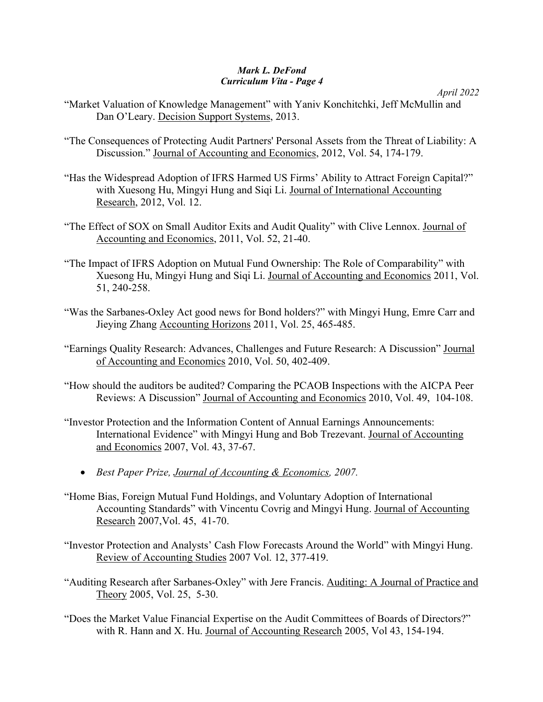```
April 2022
```
- "Market Valuation of Knowledge Management" with Yaniv Konchitchki, Jeff McMullin and Dan O'Leary. Decision Support Systems, 2013.
- "The Consequences of Protecting Audit Partners' Personal Assets from the Threat of Liability: A Discussion." Journal of Accounting and Economics, 2012, Vol. 54, 174-179.
- "Has the Widespread Adoption of IFRS Harmed US Firms' Ability to Attract Foreign Capital?" with Xuesong Hu, Mingyi Hung and Siqi Li. Journal of International Accounting Research, 2012, Vol. 12.
- "The Effect of SOX on Small Auditor Exits and Audit Quality" with Clive Lennox. Journal of Accounting and Economics, 2011, Vol. 52, 21-40.
- "The Impact of IFRS Adoption on Mutual Fund Ownership: The Role of Comparability" with Xuesong Hu, Mingyi Hung and Siqi Li. Journal of Accounting and Economics 2011, Vol. 51, 240-258.
- "Was the Sarbanes-Oxley Act good news for Bond holders?" with Mingyi Hung, Emre Carr and Jieying Zhang Accounting Horizons 2011, Vol. 25, 465-485.
- "Earnings Quality Research: Advances, Challenges and Future Research: A Discussion" Journal of Accounting and Economics 2010, Vol. 50, 402-409.
- "How should the auditors be audited? Comparing the PCAOB Inspections with the AICPA Peer Reviews: A Discussion" Journal of Accounting and Economics 2010, Vol. 49, 104-108.
- "Investor Protection and the Information Content of Annual Earnings Announcements: International Evidence" with Mingyi Hung and Bob Trezevant. Journal of Accounting and Economics 2007, Vol. 43, 37-67.
	- *Best Paper Prize, Journal of Accounting & Economics, 2007.*
- "Home Bias, Foreign Mutual Fund Holdings, and Voluntary Adoption of International Accounting Standards" with Vincentu Covrig and Mingyi Hung. Journal of Accounting Research 2007,Vol. 45, 41-70.
- "Investor Protection and Analysts' Cash Flow Forecasts Around the World" with Mingyi Hung. Review of Accounting Studies 2007 Vol. 12, 377-419.
- "Auditing Research after Sarbanes-Oxley" with Jere Francis. Auditing: A Journal of Practice and Theory 2005, Vol. 25, 5-30.
- "Does the Market Value Financial Expertise on the Audit Committees of Boards of Directors?" with R. Hann and X. Hu. Journal of Accounting Research 2005, Vol 43, 154-194.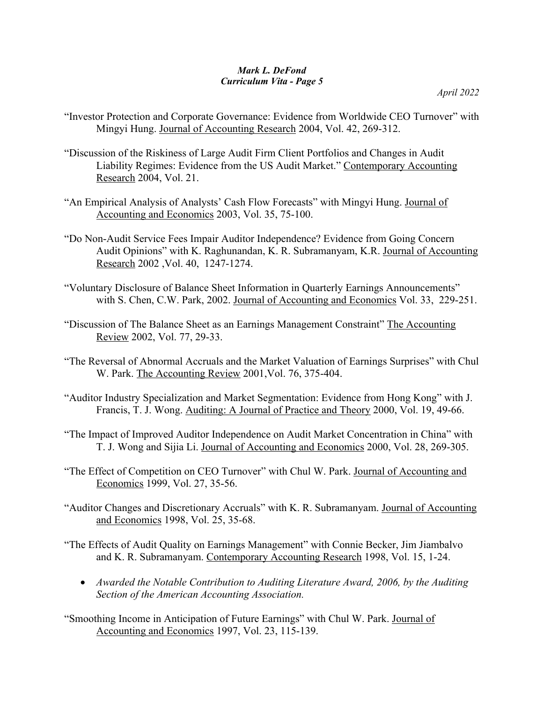- "Investor Protection and Corporate Governance: Evidence from Worldwide CEO Turnover" with Mingyi Hung. Journal of Accounting Research 2004, Vol. 42, 269-312.
- "Discussion of the Riskiness of Large Audit Firm Client Portfolios and Changes in Audit Liability Regimes: Evidence from the US Audit Market." Contemporary Accounting Research 2004, Vol. 21.
- "An Empirical Analysis of Analysts' Cash Flow Forecasts" with Mingyi Hung. Journal of Accounting and Economics 2003, Vol. 35, 75-100.
- "Do Non-Audit Service Fees Impair Auditor Independence? Evidence from Going Concern Audit Opinions" with K. Raghunandan, K. R. Subramanyam, K.R. Journal of Accounting Research 2002 ,Vol. 40, 1247-1274.
- "Voluntary Disclosure of Balance Sheet Information in Quarterly Earnings Announcements" with S. Chen, C.W. Park, 2002. Journal of Accounting and Economics Vol. 33, 229-251.
- "Discussion of The Balance Sheet as an Earnings Management Constraint" The Accounting Review 2002, Vol. 77, 29-33.
- "The Reversal of Abnormal Accruals and the Market Valuation of Earnings Surprises" with Chul W. Park. The Accounting Review 2001,Vol. 76, 375-404.
- "Auditor Industry Specialization and Market Segmentation: Evidence from Hong Kong" with J. Francis, T. J. Wong. Auditing: A Journal of Practice and Theory 2000, Vol. 19, 49-66.
- "The Impact of Improved Auditor Independence on Audit Market Concentration in China" with T. J. Wong and Sijia Li. Journal of Accounting and Economics 2000, Vol. 28, 269-305.
- "The Effect of Competition on CEO Turnover" with Chul W. Park. Journal of Accounting and Economics 1999, Vol. 27, 35-56.
- "Auditor Changes and Discretionary Accruals" with K. R. Subramanyam. Journal of Accounting and Economics 1998, Vol. 25, 35-68.
- "The Effects of Audit Quality on Earnings Management" with Connie Becker, Jim Jiambalvo and K. R. Subramanyam. Contemporary Accounting Research 1998, Vol. 15, 1-24.
	- *Awarded the Notable Contribution to Auditing Literature Award, 2006, by the Auditing Section of the American Accounting Association.*
- "Smoothing Income in Anticipation of Future Earnings" with Chul W. Park. Journal of Accounting and Economics 1997, Vol. 23, 115-139.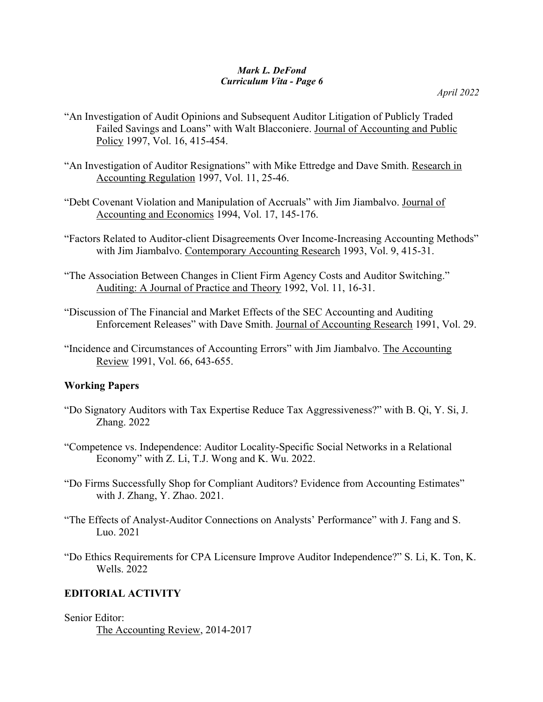*April 2022*

- "An Investigation of Audit Opinions and Subsequent Auditor Litigation of Publicly Traded Failed Savings and Loans" with Walt Blacconiere. Journal of Accounting and Public Policy 1997, Vol. 16, 415-454.
- "An Investigation of Auditor Resignations" with Mike Ettredge and Dave Smith. Research in Accounting Regulation 1997, Vol. 11, 25-46.
- "Debt Covenant Violation and Manipulation of Accruals" with Jim Jiambalvo. Journal of Accounting and Economics 1994, Vol. 17, 145-176.
- "Factors Related to Auditor-client Disagreements Over Income-Increasing Accounting Methods" with Jim Jiambalvo. Contemporary Accounting Research 1993, Vol. 9, 415-31.
- "The Association Between Changes in Client Firm Agency Costs and Auditor Switching." Auditing: A Journal of Practice and Theory 1992, Vol. 11, 16-31.
- "Discussion of The Financial and Market Effects of the SEC Accounting and Auditing Enforcement Releases" with Dave Smith. Journal of Accounting Research 1991, Vol. 29.
- "Incidence and Circumstances of Accounting Errors" with Jim Jiambalvo. The Accounting Review 1991, Vol. 66, 643-655.

### **Working Papers**

- "Do Signatory Auditors with Tax Expertise Reduce Tax Aggressiveness?" with B. Qi, Y. Si, J. Zhang. 2022
- "Competence vs. Independence: Auditor Locality-Specific Social Networks in a Relational Economy" with Z. Li, T.J. Wong and K. Wu. 2022.
- "Do Firms Successfully Shop for Compliant Auditors? Evidence from Accounting Estimates" with J. Zhang, Y. Zhao. 2021.
- "The Effects of Analyst-Auditor Connections on Analysts' Performance" with J. Fang and S. Luo. 2021
- "Do Ethics Requirements for CPA Licensure Improve Auditor Independence?" S. Li, K. Ton, K. Wells. 2022

# **EDITORIAL ACTIVITY**

Senior Editor:

The Accounting Review, 2014-2017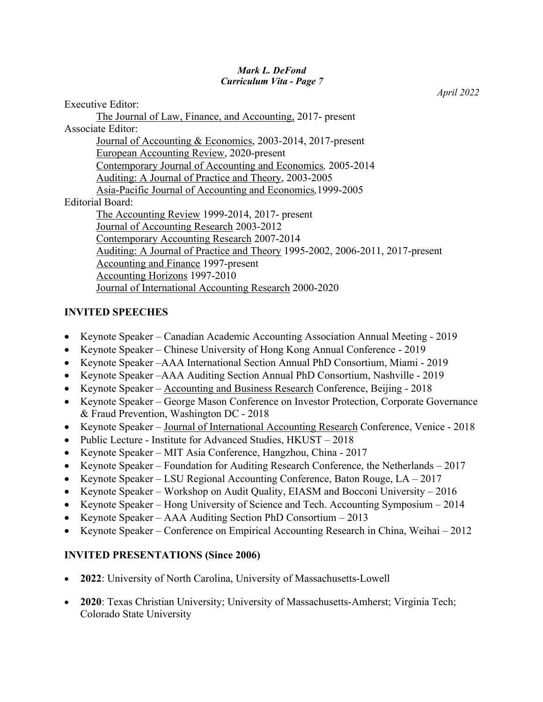Executive Editor: The Journal of Law, Finance, and Accounting, 2017- present Associate Editor: Journal of Accounting & Economics, 2003-2014, 2017-present European Accounting Review, 2020-present Contemporary Journal of Accounting and Economics*,* 2005-2014 Auditing: A Journal of Practice and Theory, 2003-2005 Asia-Pacific Journal of Accounting and Economics*,*1999-2005 Editorial Board: The Accounting Review 1999-2014, 2017- present Journal of Accounting Research 2003-2012 Contemporary Accounting Research 2007-2014 Auditing: A Journal of Practice and Theory 1995-2002, 2006-2011, 2017-present Accounting and Finance 1997-present Accounting Horizons 1997-2010 Journal of International Accounting Research 2000-2020

### **INVITED SPEECHES**

- Keynote Speaker Canadian Academic Accounting Association Annual Meeting 2019
- Keynote Speaker Chinese University of Hong Kong Annual Conference 2019
- Keynote Speaker –AAA International Section Annual PhD Consortium, Miami 2019
- Keynote Speaker –AAA Auditing Section Annual PhD Consortium, Nashville 2019
- Keynote Speaker Accounting and Business Research Conference, Beijing 2018
- Keynote Speaker George Mason Conference on Investor Protection, Corporate Governance & Fraud Prevention, Washington DC - 2018
- Keynote Speaker Journal of International Accounting Research Conference, Venice 2018
- Public Lecture Institute for Advanced Studies, HKUST 2018
- Keynote Speaker MIT Asia Conference, Hangzhou, China 2017
- Keynote Speaker Foundation for Auditing Research Conference, the Netherlands 2017
- Keynote Speaker LSU Regional Accounting Conference, Baton Rouge, LA 2017
- Keynote Speaker Workshop on Audit Quality, EIASM and Bocconi University 2016
- Keynote Speaker Hong University of Science and Tech. Accounting Symposium 2014
- Keynote Speaker AAA Auditing Section PhD Consortium 2013
- Keynote Speaker Conference on Empirical Accounting Research in China, Weihai 2012

# **INVITED PRESENTATIONS (Since 2006)**

- **2022**: University of North Carolina, University of Massachusetts-Lowell
- **2020**: Texas Christian University; University of Massachusetts-Amherst; Virginia Tech; Colorado State University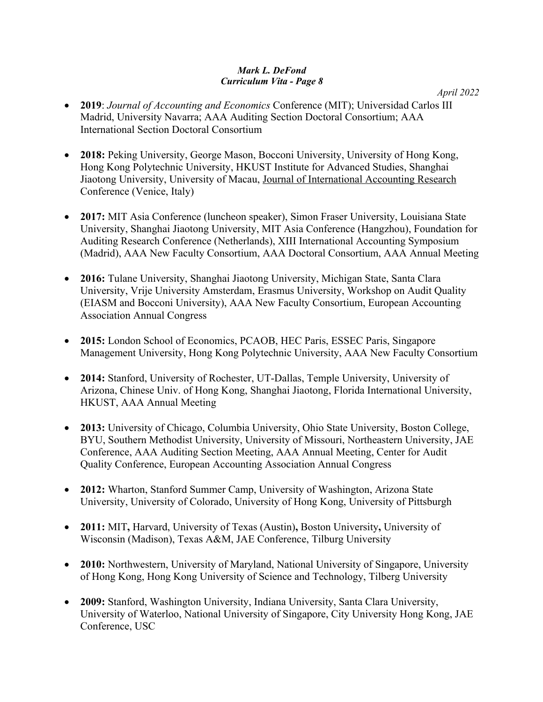- **2019**: *Journal of Accounting and Economics* Conference (MIT); Universidad Carlos III Madrid, University Navarra; AAA Auditing Section Doctoral Consortium; AAA International Section Doctoral Consortium
- **2018:** Peking University, George Mason, Bocconi University, University of Hong Kong, Hong Kong Polytechnic University, HKUST Institute for Advanced Studies, Shanghai Jiaotong University, University of Macau, Journal of International Accounting Research Conference (Venice, Italy)
- **2017:** MIT Asia Conference (luncheon speaker), Simon Fraser University, Louisiana State University, Shanghai Jiaotong University, MIT Asia Conference (Hangzhou), Foundation for Auditing Research Conference (Netherlands), XIII International Accounting Symposium (Madrid), AAA New Faculty Consortium, AAA Doctoral Consortium, AAA Annual Meeting
- **2016:** Tulane University, Shanghai Jiaotong University, Michigan State, Santa Clara University, Vrije University Amsterdam, Erasmus University, Workshop on Audit Quality (EIASM and Bocconi University), AAA New Faculty Consortium, European Accounting Association Annual Congress
- **2015:** London School of Economics, PCAOB, HEC Paris, ESSEC Paris, Singapore Management University, Hong Kong Polytechnic University, AAA New Faculty Consortium
- **2014:** Stanford, University of Rochester, UT-Dallas, Temple University, University of Arizona, Chinese Univ. of Hong Kong, Shanghai Jiaotong, Florida International University, HKUST, AAA Annual Meeting
- **2013:** University of Chicago, Columbia University, Ohio State University, Boston College, BYU, Southern Methodist University, University of Missouri, Northeastern University, JAE Conference, AAA Auditing Section Meeting, AAA Annual Meeting, Center for Audit Quality Conference, European Accounting Association Annual Congress
- **2012:** Wharton, Stanford Summer Camp, University of Washington, Arizona State University, University of Colorado, University of Hong Kong, University of Pittsburgh
- **2011:** MIT**,** Harvard, University of Texas (Austin)**,** Boston University**,** University of Wisconsin (Madison), Texas A&M, JAE Conference, Tilburg University
- **2010:** Northwestern, University of Maryland, National University of Singapore, University of Hong Kong, Hong Kong University of Science and Technology, Tilberg University
- **2009:** Stanford, Washington University, Indiana University, Santa Clara University, University of Waterloo, National University of Singapore, City University Hong Kong, JAE Conference, USC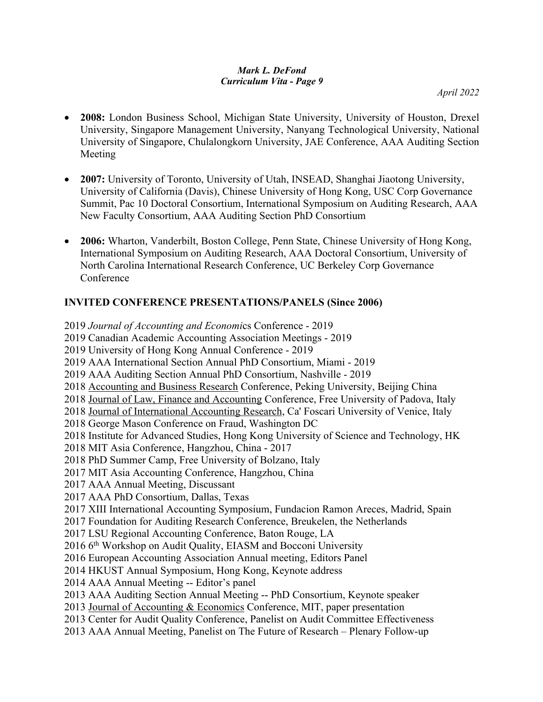*April 2022*

- **2008:** London Business School, Michigan State University, University of Houston, Drexel University, Singapore Management University, Nanyang Technological University, National University of Singapore, Chulalongkorn University, JAE Conference, AAA Auditing Section Meeting
- **2007:** University of Toronto, University of Utah, INSEAD, Shanghai Jiaotong University, University of California (Davis), Chinese University of Hong Kong, USC Corp Governance Summit, Pac 10 Doctoral Consortium, International Symposium on Auditing Research, AAA New Faculty Consortium, AAA Auditing Section PhD Consortium
- **2006:** Wharton, Vanderbilt, Boston College, Penn State, Chinese University of Hong Kong, International Symposium on Auditing Research, AAA Doctoral Consortium, University of North Carolina International Research Conference, UC Berkeley Corp Governance Conference

# **INVITED CONFERENCE PRESENTATIONS/PANELS (Since 2006)**

2019 *Journal of Accounting and Economi*cs Conference - 2019 2019 Canadian Academic Accounting Association Meetings - 2019 2019 University of Hong Kong Annual Conference - 2019 2019 AAA International Section Annual PhD Consortium, Miami - 2019 2019 AAA Auditing Section Annual PhD Consortium, Nashville - 2019 2018 Accounting and Business Research Conference, Peking University, Beijing China 2018 Journal of Law, Finance and Accounting Conference, Free University of Padova, Italy 2018 Journal of International Accounting Research, Ca' Foscari University of Venice, Italy 2018 George Mason Conference on Fraud, Washington DC 2018 Institute for Advanced Studies, Hong Kong University of Science and Technology, HK 2018 MIT Asia Conference, Hangzhou, China - 2017 2018 PhD Summer Camp, Free University of Bolzano, Italy 2017 MIT Asia Accounting Conference, Hangzhou, China 2017 AAA Annual Meeting, Discussant 2017 AAA PhD Consortium, Dallas, Texas 2017 XIII International Accounting Symposium, Fundacion Ramon Areces, Madrid, Spain 2017 Foundation for Auditing Research Conference, Breukelen, the Netherlands 2017 LSU Regional Accounting Conference, Baton Rouge, LA 2016 6th Workshop on Audit Quality, EIASM and Bocconi University 2016 European Accounting Association Annual meeting, Editors Panel 2014 HKUST Annual Symposium, Hong Kong, Keynote address 2014 AAA Annual Meeting -- Editor's panel 2013 AAA Auditing Section Annual Meeting -- PhD Consortium, Keynote speaker 2013 Journal of Accounting & Economics Conference, MIT, paper presentation 2013 Center for Audit Quality Conference, Panelist on Audit Committee Effectiveness 2013 AAA Annual Meeting, Panelist on The Future of Research – Plenary Follow-up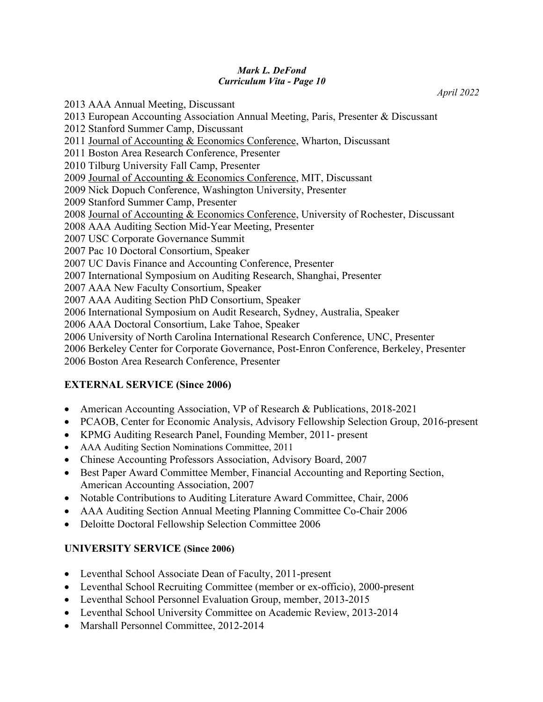*April 2022*

2013 AAA Annual Meeting, Discussant 2013 European Accounting Association Annual Meeting, Paris, Presenter & Discussant 2012 Stanford Summer Camp, Discussant 2011 Journal of Accounting & Economics Conference, Wharton, Discussant 2011 Boston Area Research Conference, Presenter 2010 Tilburg University Fall Camp, Presenter 2009 Journal of Accounting & Economics Conference, MIT, Discussant 2009 Nick Dopuch Conference, Washington University, Presenter 2009 Stanford Summer Camp, Presenter 2008 Journal of Accounting & Economics Conference, University of Rochester, Discussant 2008 AAA Auditing Section Mid-Year Meeting, Presenter 2007 USC Corporate Governance Summit 2007 Pac 10 Doctoral Consortium, Speaker 2007 UC Davis Finance and Accounting Conference, Presenter 2007 International Symposium on Auditing Research, Shanghai, Presenter 2007 AAA New Faculty Consortium, Speaker 2007 AAA Auditing Section PhD Consortium, Speaker 2006 International Symposium on Audit Research, Sydney, Australia, Speaker 2006 AAA Doctoral Consortium, Lake Tahoe, Speaker 2006 University of North Carolina International Research Conference, UNC, Presenter 2006 Berkeley Center for Corporate Governance, Post-Enron Conference, Berkeley, Presenter 2006 Boston Area Research Conference, Presenter

# **EXTERNAL SERVICE (Since 2006)**

- American Accounting Association, VP of Research & Publications, 2018-2021
- PCAOB, Center for Economic Analysis, Advisory Fellowship Selection Group, 2016-present
- KPMG Auditing Research Panel, Founding Member, 2011- present
- AAA Auditing Section Nominations Committee, 2011
- Chinese Accounting Professors Association, Advisory Board, 2007
- Best Paper Award Committee Member, Financial Accounting and Reporting Section, American Accounting Association, 2007
- Notable Contributions to Auditing Literature Award Committee, Chair, 2006
- AAA Auditing Section Annual Meeting Planning Committee Co-Chair 2006
- Deloitte Doctoral Fellowship Selection Committee 2006

### **UNIVERSITY SERVICE (Since 2006)**

- Leventhal School Associate Dean of Faculty, 2011-present
- Leventhal School Recruiting Committee (member or ex-officio), 2000-present
- Leventhal School Personnel Evaluation Group, member, 2013-2015
- Leventhal School University Committee on Academic Review, 2013-2014
- Marshall Personnel Committee, 2012-2014